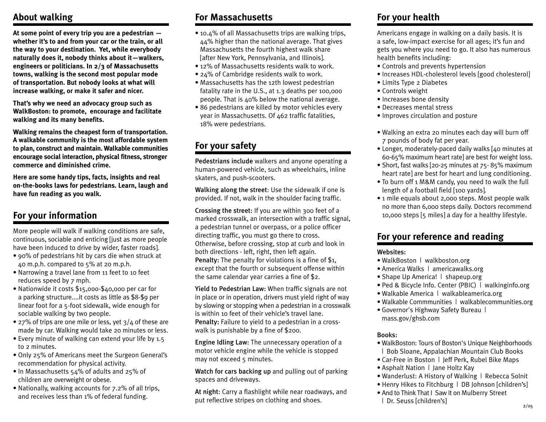### **About walking**

**At some point of every trip you are a pedestrian whether it's to and from your car or the train, or all the way to your destination. Yet, while everybody naturally does it, nobody thinks about it—walkers, engineers or politicians. In 2/3 of Massachusetts towns, walking is the second most popular mode of transportation. But nobody looks at what will increase walking, or make it safer and nicer.**

**That's why we need an advocacy group such as WalkBoston: to promote, encourage and facilitate walking and its many benefits.**

**Walking remains the cheapest form of transportation. A walkable community is the most affordable system to plan, construct and maintain. Walkable communities encourage social interaction, physical fitness, stronger commerce and diminished crime.**

**Here are some handy tips, facts, insights and real on-the-books laws for pedestrians. Learn, laugh and have fun reading as you walk.**

### **For your information**

More people will walk if walking conditions are safe, continuous, sociable and enticing [just as more people have been induced to drive by wider, faster roads].

- 90% of pedestrians hit by cars die when struck at 40 m.p.h. compared to 5% at 20 m.p.h.
- Narrowing a travel lane from 11 feet to 10 feet reduces speed by 7 mph.
- Nationwide it costs \$15,ooo-\$40,000 per car for a parking structure....it costs as little as \$8-\$9 per linear foot for a 5-foot sidewalk, wide enough for sociable walking by two people.
- 27% of trips are one mile or less, yet  $3/4$  of these are made by car. Walking would take 20 minutes or less.
- Every minute of walking can extend your life by 1.5 to 2 minutes.
- Only 25% of Americans meet the Surgeon General's recommendation for physical activity.
- In Massachusetts 54% of adults and 25% of children are overweight or obese.
- Nationally, walking accounts for 7.2% of all trips, and receives less than 1% of federal funding.

# **For Massachusetts**

- 10.4% of all Massachusetts trips are walking trips, 44% higher than the national average. That gives Massachusetts the fourth highest walk share [after New York, Pennsylvania, and Illinois].
- 12% of Massachusetts residents walk to work.
- 24% of Cambridge residents walk to work.
- Massachusetts has the 12th lowest pedestrian fatality rate in the U.S., at 1.3 deaths per 100,000 people. That is 40% below the national average.
- 86 pedestrians are killed by motor vehicles every year in Massachusetts. Of 462 traffic fatalities, 18% were pedestrians.

# **For your safety**

Pedestrians include walkers and anyone operating a human-powered vehicle, such as wheelchairs, inline skaters, and push-scooters.

Walking along the street: Use the sidewalk if one is provided. If not, walk in the shoulder facing traffic.

Crossing the street: If you are within 300 feet of a marked crosswalk, an intersection with a traffic signal, a pedestrian tunnel or overpass, or a police officer directing traffic, you must go there to cross. Otherwise, before crossing, stop at curb and look in both directions - left, right, then left again. Penalty: The penalty for violations is a fine of \$1, except that the fourth or subsequent offense within the same calendar year carries a fine of \$2.

Yield to Pedestrian Law: When traffic signals are not in place or in operation, drivers must yield right of way by slowing or stopping when a pedestrian in a crosswalk is within 10 feet of their vehicle's travel lane. Penalty: Failure to yield to a pedestrian in a crosswalk is punishable by a fine of \$200.

Engine Idling Law: The unnecessary operation of a motor vehicle engine while the vehicle is stopped may not exceed 5 minutes.

Watch for cars backing up and pulling out of parking spaces and driveways.

At night: Carry a flashlight while near roadways, and put reflective stripes on clothing and shoes.

# **For your health**

Americans engage in walking on a daily basis. It is a safe, low-impact exercise for all ages; it's fun and gets you where you need to go. It also has numerous health benefits including:

- Controls and prevents hypertension
- Increases HDL-cholesterol levels [good cholesterol]
- Limits Type 2 Diabetes
- Controls weight
- Increases bone density
- Decreases mental stress
- Improves circulation and posture
- Walking an extra 20 minutes each day will burn off 7 pounds of body fat per year.
- Longer, moderately-paced daily walks [40 minutes at 60-65% maximum heart rate] are best for weight loss.
- Short, fast walks [20-25 minutes at 75- 85% maximum heart rate] are best for heart and lung conditioning.
- To burn off 1 M&M candy, you need to walk the full length of a football field [100 yards].
- 1 mile equals about 2,000 steps. Most people walk no more than 6,000 steps daily. Doctors recommend 10,000 steps [5 miles] a day for a healthy lifestyle.

## **For your reference and reading**

### Websites:

- WalkBoston | walkboston.org
- America Walks | americawalks.org
- Shape Up America! | shapeup.org
- Ped & Bicycle Info. Center (PBIC) | walkinginfo.org
- Walkable America | walkableamerica.org
- Walkable Commmunities | walkablecommunities.org
- Governor's Highway Safety Bureau | mass.gov/ghsb.com

### Books:

- WalkBoston: Tours of Boston's Unique Neighborhoods | Bob Sloane, Appalachian Mountain Club Books
- Car-Free in Boston | Jeff Perk, Rubel Bike Maps
- Asphalt Nation | Jane Holtz Kay
- Wanderlust: A History of Walking | Rebecca Solnit
- Henry Hikes to Fitchburg | DB Johnson [children's]
- And to Think That I Saw It on Mulberry Street <sup>|</sup> Dr. Seuss [children's] 2/05